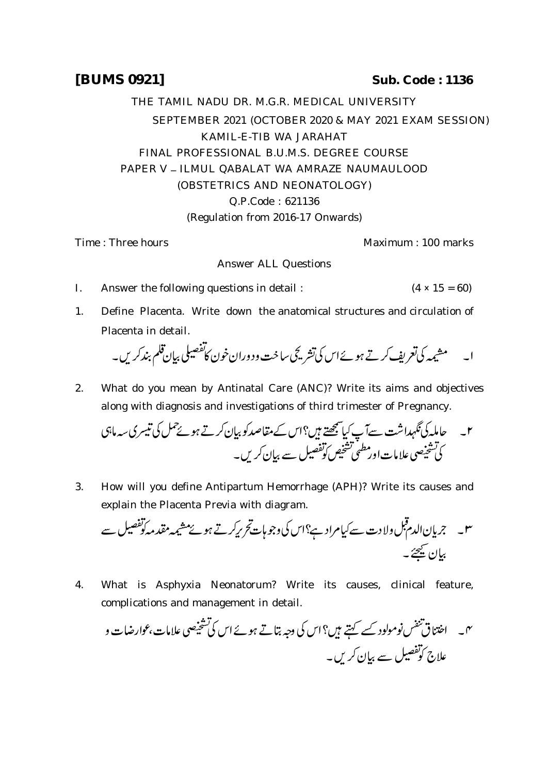## **[BUMS 0921] Sub. Code : 1136**

THE TAMIL NADU DR. M.G.R. MEDICAL UNIVERSITY SEPTEMBER 2021 (OCTOBER 2020 & MAY 2021 EXAM SESSION) KAMIL-E-TIB WA JARAHAT FINAL PROFESSIONAL B.U.M.S. DEGREE COURSE PAPER V - ILMUL QABALAT WA AMRAZE NAUMAULOOD (OBSTETRICS AND NEONATOLOGY) Q.P.Code : 621136 (Regulation from 2016-17 Onwards)

Time : Three hours **Maximum** : 100 marks

Answer ALL Questions

- I. Answer the following questions in detail :  $(4 \times 15 = 60)$
- 1. Define Placenta. Write down the anatomical structures and circulation of Placenta in detail.

 

2. What do you mean by Antinatal Care (ANC)? Write its aims and objectives along with diagnosis and investigations of third trimester of Pregnancy.

 

3. How will you define Antipartum Hemorrhage (APH)? Write its causes and explain the Placenta Previa with diagram.

 

4. What is Asphyxia Neonatorum? Write its causes, clinical feature, complications and management in detail.